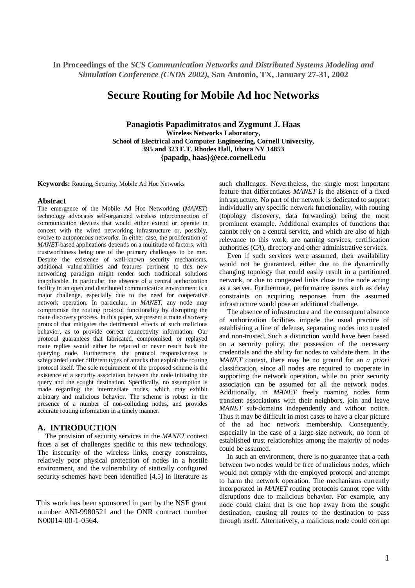# **Secure Routing for Mobile Ad hoc Networks**

**Panagiotis Papadimitratos and Zygmunt J. Haas Wireless Networks Laboratory, School of Electrical and Computer Engineering, Cornell University, 395 and 323 F.T. Rhodes Hall, Ithaca NY 14853 {papadp, haas}@ece.cornell.edu**

**Keywords:** Routing, Security, Mobile Ad Hoc Networks

#### **Abstract**

The emergence of the Mobile Ad Hoc Networking (*MANET*) technology advocates self-organized wireless interconnection of communication devices that would either extend or operate in concert with the wired networking infrastructure or, possibly, evolve to autonomous networks. In either case, the proliferation of *MANET*-based applications depends on a multitude of factors, with trustworthiness being one of the primary challenges to be met. Despite the existence of well-known security mechanisms, additional vulnerabilities and features pertinent to this new networking paradigm might render such traditional solutions inapplicable. In particular, the absence of a central authorization facility in an open and distributed communication environment is a major challenge, especially due to the need for cooperative network operation. In particular, in *MANET*, any node may compromise the routing protocol functionality by disrupting the route discovery process. In this paper, we present a route discovery protocol that mitigates the detrimental effects of such malicious behavior, as to provide correct connectivity information. Our protocol guarantees that fabricated, compromised, or replayed route replies would either be rejected or never reach back the querying node. Furthermore, the protocol responsiveness is safeguarded under different types of attacks that exploit the routing protocol itself. The sole requirement of the proposed scheme is the existence of a security association between the node initiating the query and the sought destination. Specifically, no assumption is made regarding the intermediate nodes, which may exhibit arbitrary and malicious behavior. The scheme is robust in the presence of a number of non-colluding nodes, and provides accurate routing information in a timely manner.

## **A. INTRODUCTION**

The provision of security services in the *MANET* context faces a set of challenges specific to this new technology. The insecurity of the wireless links, energy constraints, relatively poor physical protection of nodes in a hostile environment, and the vulnerability of statically configured security schemes have been identified [4,5] in literature as

such challenges. Nevertheless, the single most important feature that differentiates *MANET* is the absence of a fixed infrastructure. No part of the network is dedicated to support individually any specific network functionality, with routing (topology discovery, data forwarding) being the most prominent example. Additional examples of functions that cannot rely on a central service, and which are also of high relevance to this work, are naming services, certification authorities (*CA*), directory and other administrative services.

Even if such services were assumed, their availability would not be guaranteed, either due to the dynamically changing topology that could easily result in a partitioned network, or due to congested links close to the node acting as a server. Furthermore, performance issues such as delay constraints on acquiring responses from the assumed infrastructure would pose an additional challenge.

The absence of infrastructure and the consequent absence of authorization facilities impede the usual practice of establishing a line of defense, separating nodes into trusted and non-trusted. Such a distinction would have been based on a security policy, the possession of the necessary credentials and the ability for nodes to validate them. In the *MANET* context, there may be no ground for an *a priori* classification, since all nodes are required to cooperate in supporting the network operation, while no prior security association can be assumed for all the network nodes. Additionally, in *MANET* freely roaming nodes form transient associations with their neighbors, join and leave *MANET* sub-domains independently and without notice. Thus it may be difficult in most cases to have a clear picture of the ad hoc network membership. Consequently, especially in the case of a large-size network, no form of established trust relationships among the majority of nodes could be assumed.

In such an environment, there is no guarantee that a path between two nodes would be free of malicious nodes, which would not comply with the employed protocol and attempt to harm the network operation. The mechanisms currently incorporated in *MANET* routing protocols cannot cope with disruptions due to malicious behavior. For example, any node could claim that is one hop away from the sought destination, causing all routes to the destination to pass through itself. Alternatively, a malicious node could corrupt

This work has been sponsored in part by the NSF grant number ANI-9980521 and the ONR contract number N00014-00-1-0564.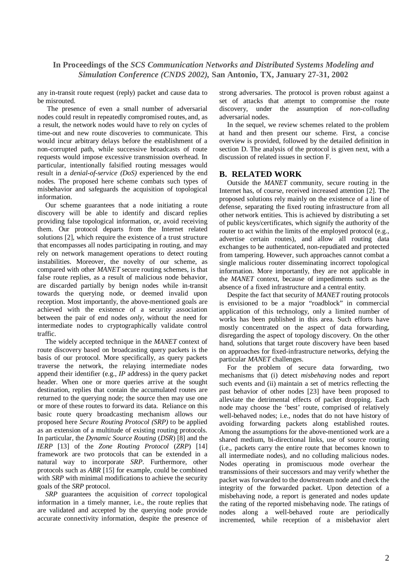any in-transit route request (reply) packet and cause data to be misrouted.

The presence of even a small number of adversarial nodes could result in repeatedly compromised routes, and, as a result, the network nodes would have to rely on cycles of time-out and new route discoveries to communicate. This would incur arbitrary delays before the establishment of a non-corrupted path, while successive broadcasts of route requests would impose excessive transmission overhead. In particular, intentionally falsified routing messages would result in a *denial-of-service (DoS)* experienced by the end nodes. The proposed here scheme combats such types of misbehavior and safeguards the acquisition of topological information.

Our scheme guarantees that a node initiating a route discovery will be able to identify and discard replies providing false topological information, or, avoid receiving them. Our protocol departs from the Internet related solutions [2], which require the existence of a trust structure that encompasses all nodes participating in routing, and may rely on network management operations to detect routing instabilities. Moreover, the novelty of our scheme, as compared with other *MANET* secure routing schemes, is that false route replies, as a result of malicious node behavior, are discarded partially by benign nodes while in-transit towards the querying node, or deemed invalid upon reception. Most importantly, the above-mentioned goals are achieved with the existence of a security association between the pair of end nodes *only*, without the need for intermediate nodes to cryptographically validate control traffic.

The widely accepted technique in the *MANET* context of route discovery based on broadcasting query packets is the basis of our protocol. More specifically, as query packets traverse the network, the relaying intermediate nodes append their identifier (e.g., *IP* address) in the query packet header. When one or more queries arrive at the sought destination, replies that contain the accumulated routes are returned to the querying node; the source then may use one or more of these routes to forward its data. Reliance on this basic route query broadcasting mechanism allows our proposed here *Secure Routing Protocol (SRP)* to be applied as an extension of a multitude of existing routing protocols. In particular, the *Dynamic Source Routing* (*DSR*) [8] and the *IERP* [13] of the *Zone Routing Protocol* (*ZRP*) [14] framework are two protocols that can be extended in a natural way to incorporate *SRP*. Furthermore, other protocols such as *ABR* [15] for example, could be combined with *SRP* with minimal modifications to achieve the security goals of the *SRP* protocol.

*SRP* guarantees the acquisition of *correct* topological information in a timely manner, i.e., the route replies that are validated and accepted by the querying node provide accurate connectivity information, despite the presence of strong adversaries. The protocol is proven robust against a set of attacks that attempt to compromise the route discovery, under the assumption of *non-colluding* adversarial nodes.

In the sequel, we review schemes related to the problem at hand and then present our scheme. First, a concise overview is provided, followed by the detailed definition in section D. The analysis of the protocol is given next, with a discussion of related issues in section F.

### **B. RELATED WORK**

Outside the *MANET* community, secure routing in the Internet has, of course, received increased attention [2]. The proposed solutions rely mainly on the existence of a line of defense, separating the fixed routing infrastructure from all other network entities. This is achieved by distributing a set of public keys/certificates, which signify the authority of the router to act within the limits of the employed protocol (e.g., advertise certain routes), and allow all routing data exchanges to be authenticated, non-repudiated and protected from tampering. However, such approaches cannot combat a single malicious router disseminating incorrect topological information. More importantly, they are not applicable in the *MANET* context, because of impediments such as the absence of a fixed infrastructure and a central entity.

Despite the fact that security of *MANET* routing protocols is envisioned to be a major "roadblock" in commercial application of this technology, only a limited number of works has been published in this area. Such efforts have mostly concentrated on the aspect of data forwarding, disregarding the aspect of topology discovery. On the other hand, solutions that target route discovery have been based on approaches for fixed-infrastructure networks, defying the particular *MANET* challenges.

For the problem of secure data forwarding, two mechanisms that (i) detect *misbehaving* nodes and report such events and (ii) maintain a set of metrics reflecting the past behavior of other nodes [23] have been proposed to alleviate the detrimental effects of packet dropping. Each node may choose the 'best' route, comprised of relatively well-behaved nodes; i.e., nodes that do not have history of avoiding forwarding packets along established routes. Among the assumptions for the above-mentioned work are a shared medium, bi-directional links, use of source routing (i.e., packets carry the entire route that becomes known to all intermediate nodes), and no colluding malicious nodes. Nodes operating in promiscuous mode overhear the transmissions of their successors and may verify whether the packet was forwarded to the downstream node and check the integrity of the forwarded packet. Upon detection of a misbehaving node, a report is generated and nodes update the rating of the reported misbehaving node. The ratings of nodes along a well-behaved route are periodically incremented, while reception of a misbehavior alert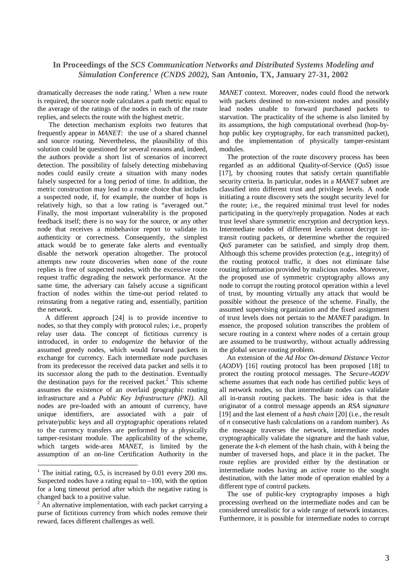dramatically decreases the node rating.<sup>1</sup> When a new route is required, the source node calculates a path metric equal to the average of the ratings of the nodes in each of the route replies, and selects the route with the highest metric.

The detection mechanism exploits two features that frequently appear in *MANET:* the use of a shared channel and source routing. Nevertheless, the plausibility of this solution could be questioned for several reasons and, indeed, the authors provide a short list of scenarios of incorrect detection. The possibility of falsely detecting misbehaving nodes could easily create a situation with many nodes falsely suspected for a long period of time. In addition, the metric construction may lead to a route choice that includes a suspected node, if, for example, the number of hops is relatively high, so that a low rating is "averaged out." Finally, the most important vulnerability is the proposed feedback itself; there is no way for the source, or any other node that receives a misbehavior report to validate its authenticity or correctness. Consequently, the simplest attack would be to generate fake alerts and eventually disable the network operation altogether. The protocol attempts new route discoveries when none of the route replies is free of suspected nodes, with the excessive route request traffic degrading the network performance. At the same time, the adversary can falsely accuse a significant fraction of nodes within the time-out period related to reinstating from a negative rating and, essentially, partition the network.

A different approach [24] is to provide incentive to nodes, so that they comply with protocol rules; i.e., properly relay user data. The concept of fictitious currency is introduced, in order to *endogenize* the behavior of the assumed greedy nodes, which would forward packets in exchange for currency. Each intermediate node purchases from its predecessor the received data packet and sells it to its successor along the path to the destination. Eventually the destination pays for the received packet. <sup>2</sup> This scheme assumes the existence of an overlaid geographic routing infrastructure and a *Public Key Infrastructure (PKI).* All nodes are pre-loaded with an amount of currency, have unique identifiers, are associated with a pair of private/public keys and all cryptographic operations related to the currency transfers are performed by a physically tamper-resistant module. The applicability of the scheme, which targets wide-area *MANET*, is limited by the assumption of an on-line Certification Authority in the *MANET* context. Moreover, nodes could flood the network with packets destined to non-existent nodes and possibly lead nodes unable to forward purchased packets to starvation. The practicality of the scheme is also limited by its assumptions, the high computational overhead (hop-byhop public key cryptography, for each transmitted packet), and the implementation of physically tamper-resistant modules.

The protection of the route discovery process has been regarded as an additional Quality-of-Service (*QoS*) issue [17], by choosing routes that satisfy certain quantifiable security criteria. In particular, nodes in a *MANET* subnet are classified into different trust and privilege levels. A node initiating a route discovery sets the sought security level for the route; i.e., the required minimal trust level for nodes participating in the query/reply propagation. Nodes at each trust level share symmetric encryption and decryption keys. Intermediate nodes of different levels cannot decrypt intransit routing packets, or determine whether the required *QoS* parameter can be satisfied, and simply drop them. Although this scheme provides protection (e.g., integrity) of the routing protocol traffic, it does not eliminate false routing information provided by malicious nodes. Moreover, the proposed use of symmetric cryptography allows any node to corrupt the routing protocol operation within a level of trust, by mounting virtually any attack that would be possible without the presence of the scheme. Finally, the assumed supervising organization and the fixed assignment of trust levels does not pertain to the *MANET* paradigm. In essence, the proposed solution transcribes the problem of secure routing in a context where nodes of a certain group are assumed to be trustworthy, without actually addressing the global secure routing problem.

An extension of the *Ad Hoc On-demand Distance Vector* (*AODV*) [16] routing protocol has been proposed [18] to protect the routing protocol messages. The *Secure-AODV* scheme assumes that each node has certified public keys of all network nodes, so that intermediate nodes can validate all in-transit routing packets. The basic idea is that the originator of a control message appends an *RSA signature* [19] and the last element of a *hash chain* [20] (i.e., the result of *n* consecutive hash calculations on a random number). As the message traverses the network, intermediate nodes cryptographically validate the signature and the hash value, generate the *k-th* element of the hash chain, with *k* being the number of traversed hops, and place it in the packet. The route replies are provided either by the destination or intermediate nodes having an active route to the sought destination, with the latter mode of operation enabled by a different type of control packets.

The use of public-key cryptography imposes a high processing overhead on the intermediate nodes and can be considered unrealistic for a wide range of network instances. Furthermore, it is possible for intermediate nodes to corrupt

<sup>&</sup>lt;sup>1</sup> The initial rating, 0.5, is increased by 0.01 every 200 ms. Suspected nodes have a rating equal to  $-100$ , with the option for a long timeout period after which the negative rating is changed back to a positive value.

<sup>&</sup>lt;sup>2</sup> An alternative implementation, with each packet carrying a purse of fictitious currency from which nodes remove their reward, faces different challenges as well.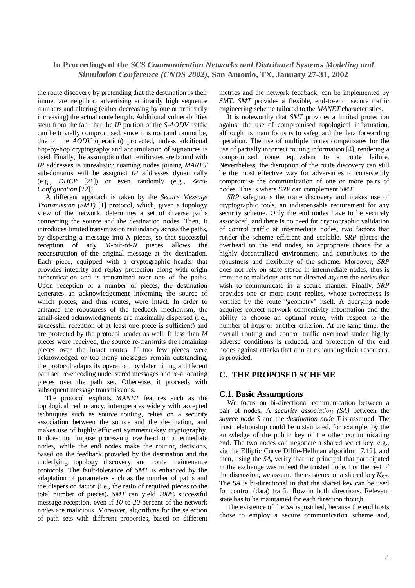the route discovery by pretending that the destination is their immediate neighbor, advertising arbitrarily high sequence numbers and altering (either decreasing by one or arbitrarily increasing) the actual route length. Additional vulnerabilities stem from the fact that the *IP* portion of the *S-AODV* traffic can be trivially compromised, since it is not (and cannot be, due to the *AODV* operation) protected, unless additional hop-by-hop cryptography and accumulation of signatures is used. Finally, the assumption that certificates are bound with *IP* addresses is unrealistic; roaming nodes joining *MANET* sub-domains will be assigned *IP* addresses dynamically (e.g., *DHCP* [21]) or even randomly (e.g., *Zero-Configuration* [22]).

A different approach is taken by the *Secure Message Transmission (SMT)* [1] protocol, which, given a topology view of the network, determines a set of diverse paths connecting the source and the destination nodes. Then, it introduces limited transmission redundancy across the paths, by dispersing a message into *N* pieces, so that successful reception of any *M*-out-of-*N* pieces allows the reconstruction of the original message at the destination. Each piece, equipped with a cryptographic header that provides integrity and replay protection along with origin authentication and is transmitted over one of the paths. Upon reception of a number of pieces, the destination generates an acknowledgement informing the source of which pieces, and thus routes, were intact. In order to enhance the robustness of the feedback mechanism, the small-sized acknowledgments are maximally dispersed (i.e., successful reception of at least one piece is sufficient) and are protected by the protocol header as well. If less than *M* pieces were received, the source re-transmits the remaining pieces over the intact routes. If too few pieces were acknowledged or too many messages remain outstanding, the protocol adapts its operation, by determining a different path set, re-encoding undelivered messages and re-allocating pieces over the path set. Otherwise, it proceeds with subsequent message transmissions.

The protocol exploits *MANET* features such as the topological redundancy, interoperates widely with accepted techniques such as source routing, relies on a security association between the source and the destination, and makes use of highly efficient symmetric-key cryptography. It does not impose processing overhead on intermediate nodes, while the end nodes make the routing decisions, based on the feedback provided by the destination and the underlying topology discovery and route maintenance protocols. The fault-tolerance of *SMT* is enhanced by the adaptation of parameters such as the number of paths and the dispersion factor (i.e., the ratio of required pieces to the total number of pieces). *SMT* can yield *100%* successful message reception, even if *10* to *20* percent of the network nodes are malicious. Moreover, algorithms for the selection of path sets with different properties, based on different metrics and the network feedback, can be implemented by *SMT*. *SMT* provides a flexible, end-to-end, secure traffic engineering scheme tailored to the *MANET* characteristics.

It is noteworthy that *SMT* provides a limited protection against the use of compromised topological information, although its main focus is to safeguard the data forwarding operation. The use of multiple routes compensates for the use of partially incorrect routing information [4], rendering a compromised route equivalent to a route failure. Nevertheless, the disruption of the route discovery can still be the most effective way for adversaries to consistently compromise the communication of one or more pairs of nodes. This is where *SRP* can complement *SMT.*

*SRP* safeguards the route discovery and makes use of cryptographic tools, an indispensable requirement for any security scheme. Only the end nodes have to be securely associated, and there is no need for cryptographic validation of control traffic at intermediate nodes, two factors that render the scheme efficient and scalable. *SRP* places the overhead on the end nodes, an appropriate choice for a highly decentralized environment, and contributes to the robustness and flexibility of the scheme. Moreover, *SRP* does not rely on state stored in intermediate nodes, thus is immune to malicious acts not directed against the nodes that wish to communicate in a secure manner. Finally, *SRP* provides one or more route replies, whose correctness is verified by the route "geometry" itself. A querying node acquires correct network connectivity information and the ability to choose an optimal route, with respect to the number of hops or another criterion. At the same time, the overall routing and control traffic overhead under highly adverse conditions is reduced, and protection of the end nodes against attacks that aim at exhausting their resources, is provided.

### **C. THE PROPOSED SCHEME**

#### **C.1. Basic Assumptions**

We focus on bi-directional communication between a pair of nodes. A *security association (SA)* between the *source node S* and the *destination node T* is assumed. The trust relationship could be instantiated, for example, by the knowledge of the public key of the other communicating end. The two nodes can negotiate a shared secret key, e.g., via the Elliptic Curve Diffie-Hellman algorithm [7,12], and then, using the *SA*, verify that the principal that participated in the exchange was indeed the trusted node. For the rest of the discussion, we assume the existence of a shared key *KS,T*. The *SA* is bi-directional in that the shared key can be used for control (data) traffic flow in both directions. Relevant state has to be maintained for each direction though.

The existence of the *SA* is justified, because the end hosts chose to employ a secure communication scheme and,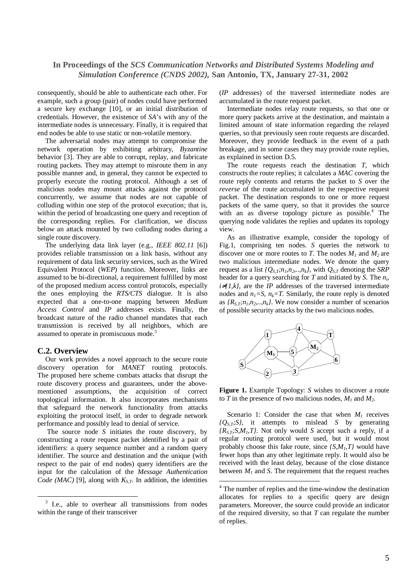consequently, should be able to authenticate each other. For example, such a group (pair) of nodes could have performed a secure key exchange [10], or an initial distribution of credentials. However, the existence of *SA*'s with any of the intermediate nodes is unnecessary. Finally, it is required that end nodes be able to use static or non-volatile memory.

The adversarial nodes may attempt to compromise the network operation by exhibiting arbitrary, *Byzantine* behavior [3]. They are able to corrupt, replay, and fabricate routing packets. They may attempt to misroute them in any possible manner and, in general, they cannot be expected to properly execute the routing protocol. Although a set of malicious nodes may mount attacks against the protocol concurrently, we assume that nodes are not capable of colluding within one step of the protocol execution; that is, within the period of broadcasting one query and reception of the corresponding replies. For clarification, we discuss below an attack mounted by two colluding nodes during a single route discovery.

The underlying data link layer (e.g., *IEEE 802.11* [6]) provides reliable transmission on a link basis, without any requirement of data link security services, such as the Wired Equivalent Protocol (*WEP*) function. Moreover, links are assumed to be bi-directional, a requirement fulfilled by most of the proposed medium access control protocols, especially the ones employing the *RTS/CTS* dialogue. It is also expected that a one-to-one mapping between *Medium Access Control* and *IP* addresses exists. Finally, the broadcast nature of the radio channel mandates that each transmission is received by all neighbors, which are assumed to operate in promiscuous mode.<sup>3</sup>

#### **C.2. Overview**

Our work provides a novel approach to the secure route discovery operation for *MANET* routing protocols. The proposed here scheme combats attacks that disrupt the route discovery process and guarantees, under the abovementioned assumptions, the acquisition of correct topological information. It also incorporates mechanisms that safeguard the network functionality from attacks exploiting the protocol itself, in order to degrade network performance and possibly lead to denial of service.

The source node *S* initiates the route discovery, by constructing a route request packet identified by a pair of identifiers: a query sequence number and a random query identifier. The source and destination and the unique (with respect to the pair of end nodes) query identifiers are the input for the calculation of the *Message Authentication Code* (*MAC*) [9], along with  $K_{S,T}$ . In addition, the identities

(*IP* addresses) of the traversed intermediate nodes are accumulated in the route request packet.

Intermediate nodes relay route requests, so that one or more query packets arrive at the destination, and maintain a limited amount of state information regarding the relayed queries, so that previously seen route requests are discarded. Moreover, they provide feedback in the event of a path breakage, and in some cases they may provide route replies, as explained in section D.5.

The route requests reach the destination *T*, which constructs the route replies; it calculates a *MAC* covering the route reply contents and returns the packet to *S* over the *reverse* of the route accumulated in the respective request packet. The destination responds to one or more request packets of the same query, so that it provides the source with an as diverse topology picture as possible.<sup>4</sup> The querying node validates the replies and updates its topology view.

As an illustrative example, consider the topology of Fig.1, comprising ten nodes. *S* queries the network to discover one or more routes to *T*. The nodes  $M_1$  and  $M_2$  are two malicious intermediate nodes. We denote the query request as a list  $\{Q_{S,T}, n_I, n_2, \ldots, n_k\}$ , with  $Q_{S,T}$  denoting the *SRP* header for a query searching for *T* and initiated by *S*. The *n<sup>i</sup> ,*  $i \neq l, k$ , are the *IP* addresses of the traversed intermediate nodes and  $n_1 = S$ ,  $n_k = T$ . Similarly, the route reply is denoted as  ${R_{S,T,n_1,n_2,...,n_k}}$ . We now consider a number of scenarios of possible security attacks by the two malicious nodes.



**Figure 1.** Example Topology: *S* wishes to discover a route to *T* in the presence of two malicious nodes,  $M_1$  and  $M_2$ .

Scenario 1: Consider the case that when  $M<sub>1</sub>$  receives *{QS,T;S}*, it attempts to mislead *S* by generating  ${R}_{S,T}$ ; *S,M<sub>1</sub>*, *T}*. Not only would *S* accept such a reply, if a regular routing protocol were used, but it would most probably choose this fake route, since *{S,M1,T}* would have fewer hops than any other legitimate reply. It would also be received with the least delay, because of the close distance between  $M<sub>1</sub>$  and *S*. The requirement that the request reaches

<sup>&</sup>lt;sup>3</sup> I.e., able to overhear all transmissions from nodes within the range of their transceiver

<sup>&</sup>lt;sup>4</sup> The number of replies and the time-window the destination allocates for replies to a specific query are design parameters. Moreover, the source could provide an indicator of the required diversity, so that *T* can regulate the number of replies.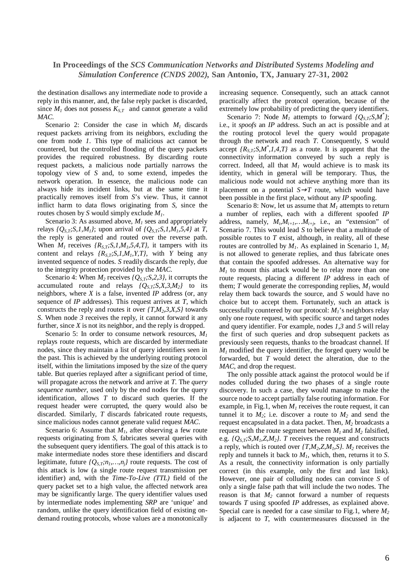the destination disallows any intermediate node to provide a reply in this manner, and, the false reply packet is discarded, since  $M<sub>I</sub>$  does not possess  $K<sub>S,T</sub>$  and cannot generate a valid *MAC*.

Scenario 2: Consider the case in which  $M<sub>1</sub>$  discards request packets arriving from its neighbors, excluding the one from node *1*. This type of malicious act cannot be countered, but the controlled flooding of the query packets provides the required robustness. By discarding route request packets, a malicious node partially narrows the topology view of *S* and, to some extend, impedes the network operation. In essence, the malicious node can always hide its incident links, but at the same time it practically removes itself from *S*'s view. Thus, it cannot inflict harm to data flows originating from *S*, since the routes chosen by *S* would simply exclude *M1*.

Scenario 3: As assumed above, *M<sup>1</sup>* sees and appropriately relays  ${Q<sub>S,T</sub>$ ; S, I, M<sub>1</sub><sup>}</sup>; upon arrival of  ${Q<sub>S,T</sub>$ ; S, I, M<sub>1</sub>, 5, 4} at *T*, the reply is generated and routed over the reverse path. When  $M_1$  receives  $\{R_{S,T}$ ; S, 1,  $M_1$ , 5, 4, T}, it tampers with its content and relays  ${R_{S,T}}; S, I, M_I, Y, T}$ , with *Y* being any invented sequence of nodes. *S* readily discards the reply, due to the integrity protection provided by the *MAC*.

Scenario 4: When  $M_2$  receives  $\{Q_{S,T}$ ; S, 2, 3 $\}$ , it corrupts the accumulated route and relays  ${Q_{S,T}}; S, X, 3, M_2$ *j* to its neighbors, where *X* is a false, invented *IP* address (or, any sequence of *IP* addresses). This request arrives at *T*, which constructs the reply and routes it over  $\{T, M_2, 3, X, S\}$  towards *S*. When node *3* receives the reply, it cannot forward it any further, since *X* is not its neighbor, and the reply is dropped.

Scenario 5: In order to consume network resources, *M<sup>1</sup>* replays route requests, which are discarded by intermediate nodes, since they maintain a list of query identifiers seen in the past. This is achieved by the underlying routing protocol itself, within the limitations imposed by the size of the query table. But queries replayed after a significant period of time, will propagate across the network and arrive at *T*. The *query sequence number*, used only by the end nodes for the query identification, allows *T* to discard such queries. If the request header were corrupted, the query would also be discarded. Similarly, *T* discards fabricated route requests, since malicious nodes cannot generate valid request *MAC*.

Scenario 6: Assume that  $M<sub>1</sub>$ , after observing a few route requests originating from *S*, fabricates several queries with the subsequent query identifiers. The goal of this attack is to make intermediate nodes store these identifiers and discard legitimate, future  ${Q_{S,T}$ ; $n_1,...,n_i}$  route requests. The cost of this attack is low (a single route request transmission per identifier) and, with the *Time-To-Live (TTL)* field of the query packet set to a high value, the affected network area may be significantly large. The query identifier values used by intermediate nodes implementing *SRP* are 'unique' and random, unlike the query identification field of existing ondemand routing protocols, whose values are a monotonically increasing sequence. Consequently, such an attack cannot practically affect the protocol operation, because of the extremely low probability of predicting the query identifiers.

Scenario 7: Node  $M<sub>1</sub>$  attempts to forward  $\{Q<sub>S,T</sub>; S, M^* \}$ ; i.e., it *spoofs* an *IP* address. Such an act is possible and at the routing protocol level the query would propagate through the network and reach *T.* Consequently, S would accept  ${R_{S,T}}; S, M^*, 1, 4, T}$  as a route. It is apparent that the connectivity information conveyed by such a reply is correct. Indeed, all that  $M<sub>1</sub>$  would achieve is to mask its identity, which in general will be temporary. Thus, the malicious node would not achieve anything more than its placement on a potential  $S \rightarrow T$  route, which would have been possible in the first place, without any *IP* spoofing.

Scenario 8: Now, let us assume that *M<sup>1</sup>* attempts to return a number of replies, each with a different spoofed *IP* address, namely,  $M_i, M_{i+1}, \ldots, M_{i+j}$ , i.e., an "extension" of Scenario 7. This would lead *S* to believe that a multitude of possible routes to *T* exist, although, in reality, all of these routes are controlled by  $M<sub>1</sub>$ . As explained in Scenario 1,  $M<sub>1</sub>$ is not allowed to generate replies, and thus fabricate ones that contain the spoofed addresses. An alternative way for  $M<sub>1</sub>$  to mount this attack would be to relay more than one route requests, placing a different *IP* address in each of them; *T* would generate the corresponding replies,  $M<sub>I</sub>$  would relay them back towards the source, and *S* would have no choice but to accept them. Fortunately, such an attack is successfully countered by our protocol: *M1*'s neighbors relay only one route request, with specific source and target nodes and query identifier. For example, nodes *1,3* and *5* will relay the first of such queries and drop subsequent packets as previously seen requests, thanks to the broadcast channel. If  $M<sub>1</sub>$  modified the query identifier, the forged query would be forwarded, but *T* would detect the alteration, due to the *MAC*, and drop the request.

The only possible attack against the protocol would be if nodes colluded during the two phases of a single route discovery. In such a case, they would manage to make the source node to accept partially false routing information. For example, in Fig.1, when  $M<sub>1</sub>$  receives the route request, it can tunnel it to  $M_2$ ; i.e. discover a route to  $M_2$  and send the request encapsulated in a data packet. Then, *M<sup>2</sup>* broadcasts a request with the route segment between  $M_1$  and  $M_2$  falsified, e.g.  ${Q_{S,T}}{S,M_1,Z,M_2}$ . *T* receives the request and constructs a reply, which is routed over  $\{T, M_2, Z, M_1, S\}$ .  $M_2$  receives the reply and tunnels it back to *M1*, which, then, returns it to *S*. As a result, the connectivity information is only partially correct (in this example, only the first and last link). However, one pair of colluding nodes can convince *S* of only a single false path that will include the two nodes. The reason is that  $M_2$  cannot forward a number of requests towards *T* using spoofed *IP* addresses, as explained above. Special care is needed for a case similar to Fig.1, where *M<sup>2</sup>* is adjacent to *T*, with countermeasures discussed in the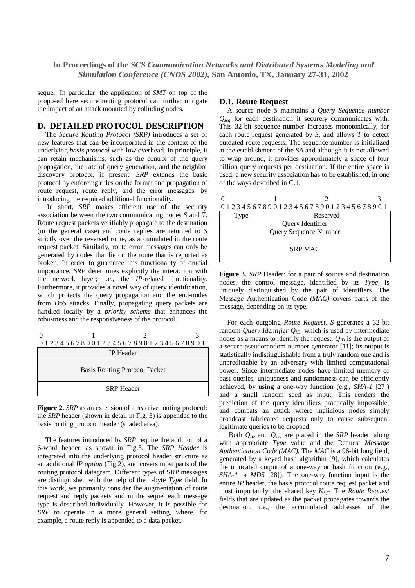sequel. In particular, the application of *SMT* on top of the proposed here secure routing protocol can further mitigate the impact of an attack mounted by colluding nodes.

### **D. DETAILED PROTOCOL DESCRIPTION**

The *Secure Routing Protocol (SRP)* introduces a set of new features that can be incorporated in the context of the underlying *basis protocol* with low overhead. In principle, it can retain mechanisms, such as the control of the query propagation, the rate of query generation, and the neighbor discovery protocol, if present. *SRP* extends the basic protocol by enforcing rules on the format and propagation of route request, route reply, and the error messages, by introducing the required additional functionality.

In short, *SRP* makes efficient use of the security association between the two communicating nodes *S* and *T*. Route request packets verifiably propagate to the destination (in the general case) and route replies are returned to *S* strictly over the reversed route, as accumulated in the route request packet. Similarly, route error messages can only be generated by nodes that lie on the route that is reported as broken. In order to guarantee this functionality of crucial importance, *SRP* determines explicitly the interaction with the network layer; i.e., the *IP*-related functionality. Furthermore, it provides a novel way of query identification, which protects the query propagation and the end-nodes from *DoS* attacks. Finally, propagating query packets are handled locally by a *priority scheme* that enhances the robustness and the responsiveness of the protocol.

|                               |  | 01234567890123456789012345678901 |  |  |
|-------------------------------|--|----------------------------------|--|--|
| <b>IP</b> Header              |  |                                  |  |  |
| Basis Routing Protocol Packet |  |                                  |  |  |
| <b>SRP</b> Header             |  |                                  |  |  |

**Figure 2.** *SRP* as an extension of a reactive routing protocol: the *SRP* header (shown in detail in Fig. 3) is appended to the basis routing protocol header (shaded area).

The features introduced by *SRP* require the addition of a 6-word header, as shown in Fig.3. The *SRP Header* is integrated into the underlying protocol header structure as an additional *IP option* (Fig.2), and covers most parts of the routing protocol datagram. Different types of SRP messages are distinguished with the help of the 1-byte *Type* field. In this work, we primarily consider the augmentation of route request and reply packets and in the sequel each message type is described individually. However, it is possible for *SRP* to operate in a more general setting, where, for example, a route reply is appended to a data packet.

#### **D.1. Route Request**

A source node *S* maintains a *Query Sequence number Qseq* for each destination it securely communicates with. This 32-bit sequence number increases monotonically, for each route request generated by *S*, and allows *T* to detect outdated route requests. The sequence number is initialized at the establishment of the *SA* and although it is not allowed to wrap around, it provides approximately a space of four billion query requests per destination. If the entire space is used, a new security association has to be established, in one of the ways described in C.1.

|                       |          | 01234567890123456789012345678901 |  |  |  |
|-----------------------|----------|----------------------------------|--|--|--|
| Type                  | Reserved |                                  |  |  |  |
| Query Identifier      |          |                                  |  |  |  |
| Ouery Sequence Number |          |                                  |  |  |  |

| Query Sequence Number |  |  |  |  |
|-----------------------|--|--|--|--|
| <b>SRP MAC</b>        |  |  |  |  |

**Figure 3***. SRP* Header: for a pair of source and destination nodes, the control message, identified by its *Type,* is uniquely distinguished by the pair of identifiers. The Message Authentication Code *(MAC)* covers parts of the message, depending on its type.

For each outgoing *Route Request*, *S* generates a 32-bit random *Query Identifier QID*, which is used by intermediate nodes as a means to identify the request. *QID* is the output of a secure pseudorandom number generator [11]; its output is statistically indistinguishable from a truly random one and is unpredictable by an adversary with limited computational power. Since intermediate nodes have limited memory of past queries, uniqueness and randomness can be efficiently achieved, by using a one-way function (e.g., *SHA-1* [27]) and a small random seed as input. This renders the prediction of the query identifiers practically impossible, and combats an attack where malicious nodes simply broadcast fabricated requests only to cause subsequent legitimate queries to be dropped.

Both *QID* and *Qseq* are placed in the *SRP* header, along with appropriate *Type* value and the Request *Message Authentication Code (MAC).* The *MAC* is a 96-bit long field, generated by a keyed hash algorithm [9], which calculates the truncated output of a one-way or hash function (e.g., *SHA-1* or *MD5* [28]). The one-way function input is the entire *IP* header, the basis protocol route request packet and most importantly, the shared key *KS,T.* The *Route Request* fields that are updated as the packet propagates towards the destination, i.e., the accumulated addresses of the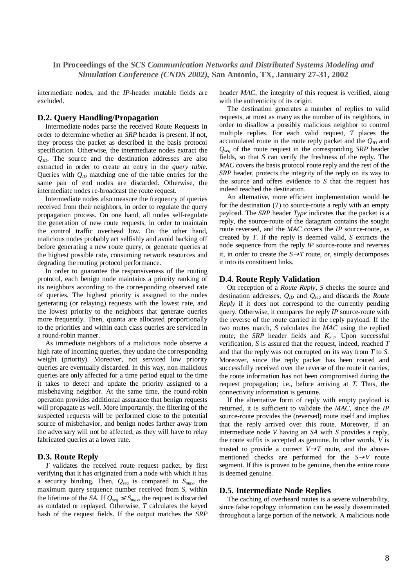intermediate nodes, and the *IP*-header mutable fields are excluded.

## **D.2. Query Handling/Propagation**

Intermediate nodes parse the received Route Requests in order to determine whether an *SRP* header is present. If not, they process the packet as described in the basis protocol specification. Otherwise, the intermediate nodes extract the *QID.* The source and the destination addresses are also extracted in order to create an entry in the *query table*. Queries with *QID* matching one of the table entries for the same pair of end nodes are discarded. Otherwise, the intermediate nodes re-broadcast the route request.

Intermediate nodes also measure the frequency of queries received from their neighbors, in order to regulate the query propagation process. On one hand, all nodes self-regulate the generation of new route requests, in order to maintain the control traffic overhead low. On the other hand, malicious nodes probably act selfishly and avoid backing off before generating a new route query, or generate queries at the highest possible rate, consuming network resources and degrading the routing protocol performance.

In order to guarantee the responsiveness of the routing protocol, each benign node maintains a priority ranking of its neighbors according to the corresponding observed rate of queries. The highest priority is assigned to the nodes generating (or relaying) requests with the lowest rate, and the lowest priority to the neighbors that generate queries more frequently. Then, quanta are allocated proportionally to the priorities and within each class queries are serviced in a round-robin manner.

As immediate neighbors of a malicious node observe a high rate of incoming queries, they update the corresponding weight (priority). Moreover, not serviced low priority queries are eventually discarded. In this way, non-malicious queries are only affected for a time period equal to the time it takes to detect and update the priority assigned to a misbehaving neighbor. At the same time, the round-robin operation provides additional assurance that benign requests will propagate as well. More importantly, the filtering of the suspected requests will be performed close to the potential source of misbehavior, and benign nodes farther away from the adversary will not be affected, as they will have to relay fabricated queries at a lower rate.

### **D.3. Route Reply**

*T* validates the received route request packet, by first verifying that it has originated from a node with which it has a security binding. Then, *Qseq* is compared to *Smax* , the maximum query sequence number received from *S*, within the lifetime of the *SA*. If  $Q_{seq} \leq S_{max}$  the request is discarded as outdated or replayed. Otherwise, *T* calculates the keyed hash of the request fields. If the output matches the *SRP* header *MAC*, the integrity of this request is verified, along with the authenticity of its origin.

The destination generates a number of replies to valid requests, at most as many as the number of its neighbors, in order to disallow a possibly malicious neighbor to control multiple replies. For each valid request, *T* places the accumulated route in the route reply packet and the  $Q_{ID}$  and *Qseq* of the route request in the corresponding *SRP* header fields, so that *S* can verify the freshness of the reply. The *MAC* covers the basis protocol route reply and the rest of the *SRP* header, protects the integrity of the reply on its way to the source and offers evidence to *S* that the request has indeed reached the destination.

An alternative, more efficient implementation would be for the destination (*T*) to source-route a reply with an empty payload. The *SRP* header *Type* indicates that the packet is a reply, the source-route of the datagram contains the sought route reversed, and the *MAC* covers the *IP* source-route, as created by *T*. If the reply is deemed valid, *S* extracts the node sequence from the reply *IP* source-route and reverses it, in order to create the  $S \rightarrow T$  route, or, simply decomposes it into its constituent links.

### **D.4. Route Reply Validation**

On reception of a *Route Reply, S* checks the source and destination addresses, *QID* and *Qseq* and discards the *Route Reply* if it does not correspond to the currently pending query. Otherwise, it compares the reply *IP* source-route with the reverse of the route carried in the reply payload. If the two routes match, *S* calculates the *MAC* using the replied route, the *SRP* header fields and *KS,T*. Upon successful verification, *S* is assured that the request, indeed, reached *T* and that the reply was not corrupted on its way from *T* to *S*. Moreover, since the reply packet has been routed and successfully received over the reverse of the route it carries, the route information has not been compromised during the request propagation; i.e., before arriving at *T*. Thus, the connectivity information is genuine.

If the alternative form of reply with empty payload is returned, it is sufficient to validate the *MAC,* since the *IP* source-route provides the (reversed) route itself and implies that the reply arrived over this route. Moreover, if an intermediate node *V* having an *SA* with *S* provides a reply, the route suffix is accepted as genuine. In other words, *V* is trusted to provide a correct  $V \rightarrow T$  route, and the abovementioned checks are performed for the *S*→*V* route segment. If this is proven to be genuine, then the entire route is deemed genuine.

#### **D.5. Intermediate Node Replies**

The caching of overheard routes is a severe vulnerability, since false topology information can be easily disseminated throughout a large portion of the network. A malicious node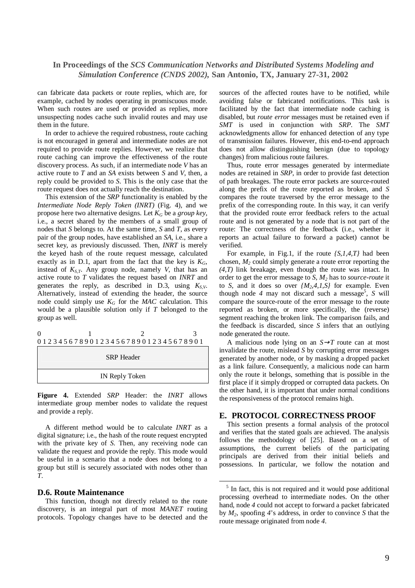can fabricate data packets or route replies, which are, for example, cached by nodes operating in promiscuous mode. When such routes are used or provided as replies, more unsuspecting nodes cache such invalid routes and may use them in the future.

In order to achieve the required robustness, route caching is not encouraged in general and intermediate nodes are not required to provide route replies. However, we realize that route caching can improve the effectiveness of the route discovery process. As such, if an intermediate node *V* has an active route to *T* and an *SA* exists between *S* and *V*, then, a reply could be provided to *S*. This is the only case that the route request does not actually reach the destination.

This extension of the *SRP* functionality is enabled by the *Intermediate Node Reply Token (INRT)* (Fig. 4), and we propose here two alternative designs. Let *K<sup>G</sup>* be a *group key*, i.e., a secret shared by the members of a small group of nodes that *S* belongs to. At the same time, *S* and *T*, as every pair of the group nodes, have established an *SA*, i.e., share a secret key, as previously discussed. Then, *INRT* is merely the keyed hash of the route request message, calculated exactly as in D.1, apart from the fact that the key is  $K_G$ , instead of  $K_{S,T}$ . Any group node, namely *V*, that has an active route to *T* validates the request based on *INRT* and generates the reply, as described in D.3, using *KS,V*. Alternatively, instead of extending the header, the source node could simply use  $K_G$  for the *MAC* calculation. This would be a plausible solution only if *T* belonged to the group as well.

0 1 2 3 0 1 2 3 4 5 6 7 8 9 0 1 2 3 4 5 6 7 8 9 0 1 2 3 4 5 6 7 8 9 0 1

| <b>SRP</b> Header |  |
|-------------------|--|
| IN Reply Token    |  |

**Figure 4.** Extended *SRP* Header: the *INRT* allows intermediate group member nodes to validate the request and provide a reply.

A different method would be to calculate *INRT* as a digital signature; i.e., the hash of the route request encrypted with the private key of *S*. Then, any receiving node can validate the request and provide the reply. This mode would be useful in a scenario that a node does not belong to a group but still is securely associated with nodes other than *T*.

### **D.6. Route Maintenance**

This function, though not directly related to the route discovery, is an integral part of most *MANET* routing protocols. Topology changes have to be detected and the

sources of the affected routes have to be notified, while avoiding false or fabricated notifications. This task is facilitated by the fact that intermediate node caching is disabled, but *route error* messages must be retained even if *SMT* is used in conjunction with *SRP*. The *SMT* acknowledgments allow for enhanced detection of any type of transmission failures. However, this end-to-end approach does not allow distinguishing benign (due to topology changes) from malicious route failures.

Thus, route error messages generated by intermediate nodes are retained in *SRP*, in order to provide fast detection of path breakages. The route error packets are source-routed along the prefix of the route reported as broken, and *S* compares the route traversed by the error message to the prefix of the corresponding route. In this way, it can verify that the provided route error feedback refers to the actual route and is not generated by a node that is not part of the route: The correctness of the feedback (i.e., whether it reports an actual failure to forward a packet) cannot be verified.

For example, in Fig.1, if the route *{S,1,4,T}* had been chosen, *M<sup>2</sup>* could simply generate a route error reporting the *(4,T)* link breakage, even though the route was intact. In order to get the error message to *S*, *M<sup>2</sup>* has to *source-route* it to *S*, and it does so over  $\{M_2, 4, 1, S\}$  for example. Even though node *4* may not discard such a message 5 , *S* will compare the source-route of the error message to the route reported as broken, or more specifically, the (reverse) segment reaching the broken link. The comparison fails, and the feedback is discarded, since *S* infers that an outlying node generated the route.

A malicious node lying on an  $S \rightarrow T$  route can at most invalidate the route, mislead *S* by corrupting error messages generated by another node, or by masking a dropped packet as a link failure. Consequently, a malicious node can harm only the route it belongs, something that is possible in the first place if it simply dropped or corrupted data packets. On the other hand, it is important that under normal conditions the responsiveness of the protocol remains high.

### **E. PROTOCOL CORRECTNESS PROOF**

This section presents a formal analysis of the protocol and verifies that the stated goals are achieved. The analysis follows the methodology of [25]. Based on a set of assumptions, the current beliefs of the participating principals are derived from their initial beliefs and possessions. In particular, we follow the notation and

<sup>&</sup>lt;sup>5</sup> In fact, this is not required and it would pose additional processing overhead to intermediate nodes. On the other hand, node *4* could not accept to forward a packet fabricated by *M2*, spoofing *4*'s address, in order to convince *S* that the route message originated from node *4*.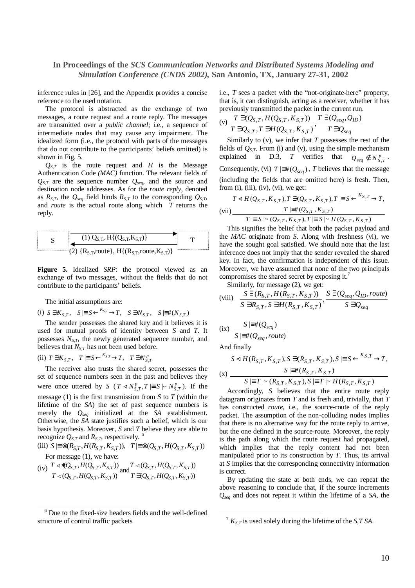inference rules in [26], and the Appendix provides a concise reference to the used notation.

The protocol is abstracted as the exchange of two messages, a route request and a route reply. The messages are transmitted over a *public channel*; i.e., a sequence of intermediate nodes that may cause any impairment. The idealized form (i.e., the protocol with parts of the messages that do not contribute to the participants' beliefs omitted) is shown in Fig. 5.

 $Q_{S,T}$  is the route request and *H* is the Message Authentication Code *(MAC)* function*.* The relevant fields of *QS,T* are the sequence number *Qseq*, and the source and destination node addresses. As for the *route reply*, denoted as  $R_{S,T}$ , the  $Q_{sea}$  field binds  $R_{S,T}$  to the corresponding  $Q_{S,T}$ , and *route* is the actual route along which *T* returns the reply.

S\n
$$
\begin{array}{|l|}\n\hline\nS & (1) Q_{S,T}, H\{(Q_{S,T}, K_{S,T})\} \\
\hline\n\text{(2) } {R_{S,T}, \text{route}}, H\{(R_{S,T}, \text{route}, K_{S,T})\}\n\hline\n\end{array}
$$
T

**Figure 5.** Idealized *SRP*: the protocol viewed as an exchange of two messages, without the fields that do not contribute to the participants' beliefs.

The initial assumptions are:

(i)  $S \ni K_{S,T}$ ,  $S \models S \stackrel{K_{S,T}}{\longleftarrow} T$ ,  $S \ni N_{S,T}$ ,  $S \models^{\#}(N_{S,T})$ 

The sender possesses the shared key and it believes it is used for mutual proofs of identity between *S* and *T*. It possesses *NS,T*, the newly generated sequence number, and believes that *NS,T* has not been used before.

(ii)  $T \ni K_{S,T}$ ,  $T \models S \xleftarrow{K_{S,T}} T$ ,  $T \ni N_{S,T}^p$  $T \ni K_{S,T}$ ,  $T \models S \xleftarrow{K_{S,T}} \negthinspace \rightarrow T$ ,  $T \ni N_S^P$ 

The receiver also trusts the shared secret, possesses the set of sequence numbers seen in the past and believes they were once uttered by *S* ( $T \triangleleft N_{S,T}^p$ ,  $T \models S \mid \sim N_{S,T}^p$ ). If the message (1) is the first transmission from *S* to *T* (within the lifetime of the *SA*) the set of past sequence numbers is merely the *Qseq* initialized at the *SA* establishment. Otherwise, the *SA* state justifies such a belief, which is our basis hypothesis. Moreover, *S* and *T* believe they are able to recognize  $Q_{S,T}$  and  $R_{S,T}$ , respectively.<sup>6</sup>

(iii)  $S \equiv \otimes (R_{S,T}, H(R_{S,T}, K_{S,T}))$ ,  $T \equiv \otimes (Q_{S,T}, H(Q_{S,T}, K_{S,T}))$ For message (1), we have:

(iv) 
$$
\frac{T \triangleleft*(Q_{S,T}, H(Q_{S,T}, K_{S,T}))}{T \triangleleft(Q_{S,T}, H(Q_{S,T}, K_{S,T}))}
$$
 and  $\frac{T \triangleleft(Q_{S,T}, H(Q_{S,T}, K_{S,T}))}{T \triangleleft(Q_{S,T}, H(Q_{S,T}, K_{S,T}))}$ 

i.e., *T* sees a packet with the "not-originate-here" property, that is, it can distinguish, acting as a receiver, whether it has previously transmitted the packet in the current run.

(v) 
$$
\frac{T \ni (Q_{S,T}, H(Q_{S,T}, K_{S,T}))}{T \ni Q_{S,T}, T \ni H(Q_{S,T}, K_{S,T})}, \frac{T \ni (Q_{seq}, Q_{ID})}{T \ni Q_{seq}}
$$

Similarly to (v), we infer that *T* possesses the rest of the fields of  $Q_{S,T}$ . From (i) and (v), using the simple mechanism explained in D.3, *T* verifies that  $Q_{seq} \notin N_{S,T}^p$ . Consequently, (vi)  $T \not\equiv \# ( Q_{seq} )$ , *T* believes that the message (including the fields that are omitted here) is fresh. Then, from  $(i)$ ,  $(iii)$ ,  $(iv)$ ,  $(vi)$ , we get:

$$
T \triangleleft H(Q_{S,T}, K_{S,T}), T \ni (Q_{S,T}, K_{S,T}), T \models S \xleftarrow{K_{S,T}} T,
$$
  
(vii)  

$$
T \models^{\#} (Q_{S,T}, K_{S,T})
$$
  

$$
T \models S \mid \sim (Q_{S,T}, K_{S,T}), T \models S \mid \sim H(Q_{S,T}, K_{S,T})
$$

This signifies the belief that both the packet payload and the *MAC* originate from *S*. Along with freshness (vi), we have the sought goal satisfied. We should note that the last inference does not imply that the sender revealed the shared key. In fact, the confirmation is independent of this issue. Moreover, we have assumed that none of the two principals compromises the shared secret by exposing it.<sup>7</sup>

Similarly, for message (2), we get:

(viii) 
$$
\frac{S \ni (R_{S,T}, H(R_{S,T}, K_{S,T}))}{S \ni R_{S,T}, S \ni H(R_{S,T}, K_{S,T})}, \frac{S \ni (Q_{seq}, Q_{ID}, route)}{S \ni Q_{seq}}
$$

$$
(ix) \frac{S\mid \equiv \#(Q_{seq})}{S\mid \equiv \#(Q_{seq}, route)}
$$

And finally

$$
S \triangleleft H(R_{S,T}, K_{S,T}), S \ni (R_{S,T}, K_{S,T}), S \models S \xleftarrow{K_{S,T}} T,
$$
  
(x) 
$$
S \models H(R_{S,T}, K_{S,T})
$$

$$
S \models T \mid \sim (R_{S,T}, K_{S,T}), S \models T \mid \sim H(R_{S,T}, K_{S,T})
$$

Accordingly, *S* believes that the entire route reply datagram originates from *T* and is fresh and, trivially, that *T* has constructed *route*, i.e., the source-route of the reply packet. The assumption of the non-colluding nodes implies that there is no alternative way for the route reply to arrive, but the one defined in the source-route. Moreover, the reply is the path along which the route request had propagated, which implies that the reply content had not been manipulated prior to its construction by *T*. Thus, its arrival at *S* implies that the corresponding connectivity information is correct.

By updating the state at both ends, we can repeat the above reasoning to conclude that, if the source increments *Qseq* and does not repeat it within the lifetime of a *SA*, the

<sup>6</sup> Due to the fixed-size headers fields and the well-defined structure of control traffic packets

 $\frac{7}{7}$   $K_{S,T}$  is used solely during the lifetime of the *S,T SA*.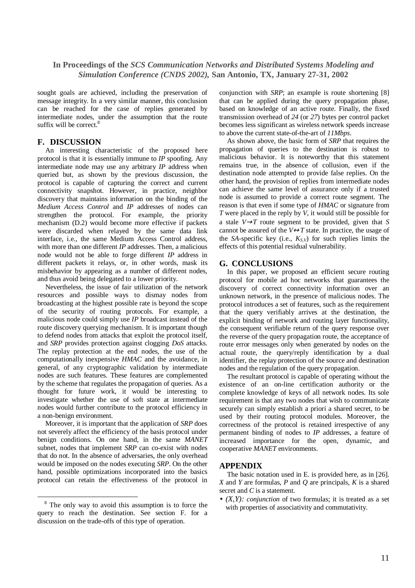sought goals are achieved, including the preservation of message integrity. In a very similar manner, this conclusion can be reached for the case of replies generated by intermediate nodes, under the assumption that the route suffix will be correct.<sup>8</sup>

### **F. DISCUSSION**

An interesting characteristic of the proposed here protocol is that it is essentially immune to *IP* spoofing. Any intermediate node may use any arbitrary *IP* address when queried but, as shown by the previous discussion, the protocol is capable of capturing the correct and current connectivity snapshot. However, in practice, neighbor discovery that maintains information on the binding of the *Medium Access Control* and *IP* addresses of nodes can strengthen the protocol. For example, the priority mechanism (D.2) would become more effective if packets were discarded when relayed by the same data link interface, i.e., the same Medium Access Control address, with more than one different *IP* addresses. Then, a malicious node would not be able to forge different *IP* address in different packets it relays, or, in other words, mask its misbehavior by appearing as a number of different nodes, and thus avoid being delegated to a lower priority.

Nevertheless, the issue of fair utilization of the network resources and possible ways to dismay nodes from broadcasting at the highest possible rate is beyond the scope of the security of routing protocols. For example, a malicious node could simply use *IP* broadcast instead of the route discovery querying mechanism. It is important though to defend nodes from attacks that exploit the protocol itself, and *SRP* provides protection against clogging *DoS* attacks. The replay protection at the end nodes, the use of the computationally inexpensive *HMAC* and the avoidance, in general, of any cryptographic validation by intermediate nodes are such features. These features are complemented by the scheme that regulates the propagation of queries. As a thought for future work, it would be interesting to investigate whether the use of soft state at intermediate nodes would further contribute to the protocol efficiency in a non-benign environment.

Moreover, it is important that the application of *SRP* does not severely affect the efficiency of the basis protocol under benign conditions. On one hand, in the same *MANET* subnet, nodes that implement *SRP* can co-exist with nodes that do not. In the absence of adversaries, the only overhead would be imposed on the nodes executing *SRP*. On the other hand, possible optimizations incorporated into the basics protocol can retain the effectiveness of the protocol in conjunction with *SRP*; an example is route shortening [8] that can be applied during the query propagation phase, based on knowledge of an active route. Finally, the fixed transmission overhead of *24* (or *27*) bytes per control packet becomes less significant as wireless network speeds increase to above the current state-of-the-art of *11Mbps*.

As shown above, the basic form of *SRP* that requires the propagation of queries to the destination is robust to malicious behavior. It is noteworthy that this statement remains true, in the absence of collusion, even if the destination node attempted to provide false replies. On the other hand, the provision of replies from intermediate nodes can achieve the same level of assurance only if a trusted node is assumed to provide a correct route segment. The reason is that even if some type of *HMAC* or signature from *T* were placed in the reply by *V*, it would still be possible for a stale *V*→*T* route segment to be provided, given that *S* cannot be assured of the  $V \leftrightarrow T$  state. In practice, the usage of the *SA*-specific key (i.e.,  $K_{SV}$ ) for such replies limits the effects of this potential residual vulnerability.

### **G. CONCLUSIONS**

In this paper, we proposed an efficient secure routing protocol for mobile ad hoc networks that guarantees the discovery of correct connectivity information over an unknown network, in the presence of malicious nodes. The protocol introduces a set of features, such as the requirement that the query verifiably arrives at the destination, the explicit binding of network and routing layer functionality, the consequent verifiable return of the query response over the reverse of the query propagation route, the acceptance of route error messages only when generated by nodes on the actual route, the query/reply identification by a dual identifier, the replay protection of the source and destination nodes and the regulation of the query propagation.

The resultant protocol is capable of operating without the existence of an on-line certification authority or the complete knowledge of keys of all network nodes. Its sole requirement is that any two nodes that wish to communicate securely can simply establish a priori a shared secret, to be used by their routing protocol modules. Moreover, the correctness of the protocol is retained irrespective of any permanent binding of nodes to *IP* addresses, a feature of increased importance for the open, dynamic, and cooperative *MANET* environments.

### **APPENDIX**

The basic notation used in E. is provided here, as in [26]. *X* and *Y* are formulas, *P* and *Q* are principals, *K* is a shared secret and *C* is a statement.

• *(X,Y): conjunction* of two formulas; it is treated as a set with properties of associativity and commutativity.

<sup>&</sup>lt;sup>8</sup> The only way to avoid this assumption is to force the query to reach the destination. See section F. for a discussion on the trade-offs of this type of operation.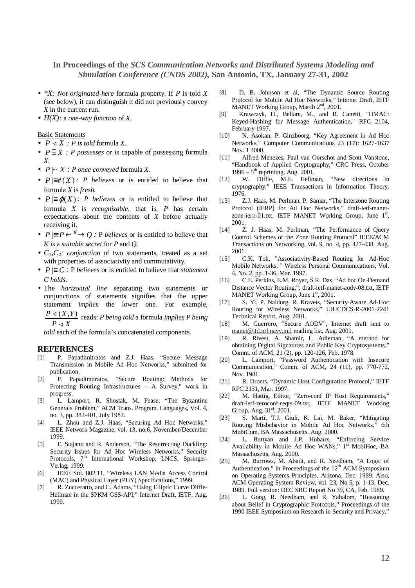- *\*X: Not-originated-here* formula property. If *P* is told *X* (see below), it can distinguish it did not previously convey *X* in the current run.
- $H(X)$ : a *one-way function* of X.

### Basic Statements

- $P \triangleleft X$ : *P* is *told* formula *X*.
- *P* ∋ *X : P possesses* or is capable of possessing formula *X*.
- $P \mid \sim X : P$  *once conveyed* formula *X*.
- $P \equiv \#(X)$ : *P believes* or is entitled to believe that formula *X* is *fresh*.
- $P \equiv \varphi(X)$ : *P believes* or is entitled to believe that formula *X* is *recognizable*, that is, *P* has certain expectations about the contents of *X* before actually receiving it.
- $P \vDash P \xleftarrow{K} O$ : P *believes* or is entitled to believe that *K* is a *suitable secret* for *P* and *Q*.
- *C1,C2: conjunction* of two statements, treated as a set with properties of associativity and commutativity.
- $P \equiv C$ : P *believes* or is entitled to believe that *statement C holds*.
- The *horizontal line* separating two statements or conjunctions of statements signifies that the upper statement *implies* the lower one. For example,
	- *P X*  $P \triangleleft (X, Y)$  $\trianglelefteq (X,Y)$  reads: *P being told* a formula *<u>implies</u> P being*

*told* each of the formula's concatenated components.

### **REFERENCES**

- [1] P. Papadimitratos and Z.J. Haas, "Secure Message Transmission in Mobile Ad Hoc Networks," submitted for publication.
- [2] P. Papadimitratos, "Secure Routing: Methods for Protecting Routing Infrastructures – A Survey," work in progress.
- [3] L. Lamport, R. Shostak, M. Pease, "The Byzantine Generals Problem," ACM Trans. Program. Languages, Vol. 4, no. 3, pp. 382-401, July 1982.
- [4] L. Zhou and Z.J. Haas, "Securing Ad Hoc Networks," IEEE Network Magazine, vol. 13, no.6, November/December 1999.
- [5] F. Stajano and R. Anderson, "The Resurrecting Duckling: Security Issues for Ad Hoc Wireless Networks," Security Protocols, 7<sup>th</sup> International Workshop, LNCS, Springer-Verlag, 1999.
- [6] IEEE Std. 802.11, "Wireless LAN Media Access Control (MAC) and Physical Layer (PHY) Specifications," 1999.
- [7] R. Zucceratto, and C. Adams, "Using Elliptic Curve Diffie-Hellman in the SPKM GSS-API," Internet Draft, IETF, Aug. 1999.
- [8] D. B. Johnson et al, "The Dynamic Source Routing Protocol for Mobile Ad Hoc Networks," Internet Draft, IETF MANET Working Group, March 2<sup>nd</sup>, 2001.
- [9] Krawczyk, H., Bellare, M., and R. Canetti, "HMAC: Keyed-Hashing for Message Authentication," RFC 2104, February 1997.
- [10] N. Asokan, P. Ginzboorg, "Key Agreement in Ad Hoc Networks," Computer Communications 23 (17): 1627-1637 Nov. 1 2000.
- [11] Alfred Menezes, Paul van Oorschot and Scott Vanstone, "Handbook of Applied Cryptography," CRC Press, October  $1996 - 5$ <sup>th</sup> reprinting, Aug. 2001.
- [12] W. Diffie, M.E. Hellman, "New directions in cryptography," IEEE Transactions in Information Theory, 1976.
- [13] Z.J. Haas, M. Perlman, P. Samar, "The Interzone Routing Protocol (IERP) for Ad Hoc Networks," draft-ietf-manetzone-ierp-01.txt, IETF MANET Working Group, June 1st, 2001.
- [14] Z. J. Haas, M. Perlman, "The Performance of Query Control Schemes of the Zone Routing Protocol" IEEE/ACM Transactions on Networking, vol. 9, no. 4, pp. 427-438, Aug. 2001.
- [15] C.K. Toh, "Associativity-Based Routing for Ad-Hoc Mobile Networks, " Wireless Personal Communications, Vol. 4, No. 2, pp. 1-36, Mar. 1997.
- [16] C.E. Perkins, E.M. Royer, S.R. Das, "Ad hoc On-Demand" Distance Vector Routing,", draft-ietf-manet-aodv-08.txt, IETF MANET Working Group, June 1<sup>st</sup>, 2001.
- [17] S. Yi, P. Naldurg, R. Kravets, "Security-Aware Ad-Hoc Routing for Wireless Networks," UIUCDCS-R-2001-2241 Technical Report, Aug. 2001.
- [18] M. Guerrero, "Secure AODV", Internet draft sent to manet@itd.nrl.navy.mil mailing list, Aug. 2001.
- [19] R. Rivest, A. Shamir, L. Adleman, "A method for obtaining Digital Signatures and Public Key Cryptosystems," Comm. of ACM, 21 (2), pp. 120-126, Feb. 1978.
- [20] L. Lamport, "Password Authentication with Insecure Communication," Comm. of ACM, 24 (11), pp. 770-772, Nov. 1981.
- [21] R. Droms, "Dynamic Host Configuration Protocol," IETF RFC 2131, Mar. 1997.
- [22] M. Hattig, Editor, "Zero-conf IP Host Requirements," draft-ietf-zeroconf-reqts-09.txt, IETF MANET Working Group, Aug.  $31<sup>st</sup>$ , 2001.
- [23] S. Marti, T.J. Giuli, K. Lai, M. Baker, "Mitigating Routing Misbehavior in Mobile Ad Hoc Networks," 6th MobiCom, BA Massachusetts, Aug. 2000.
- [24] L. Buttyan and J.P. Hubaux, "Enforcing Service Availability in Mobile Ad Hoc WANs," 1<sup>st</sup> MobiHoc, BA Massachusetts, Aug. 2000.
- [25] M. Burrows, M. Abadi, and R. Needham, "A Logic of Authentication," in Proceedings of the  $12<sup>th</sup>$  ACM Symposium on Operating Systems Principles, Arizona, Dec. 1989. Also, ACM Operating System Review, vol. 23, No 5, p. 1-13, Dec. 1989. Full version: DEC SRC Report No 39, CA, Feb. 1989.
- [26] L. Gong, R. Needham, and R. Yahalom, "Reasoning about Belief in Cryptographic Protocols," Proceedings of the 1990 IEEE Symposium on Research in Security and Privacy,"